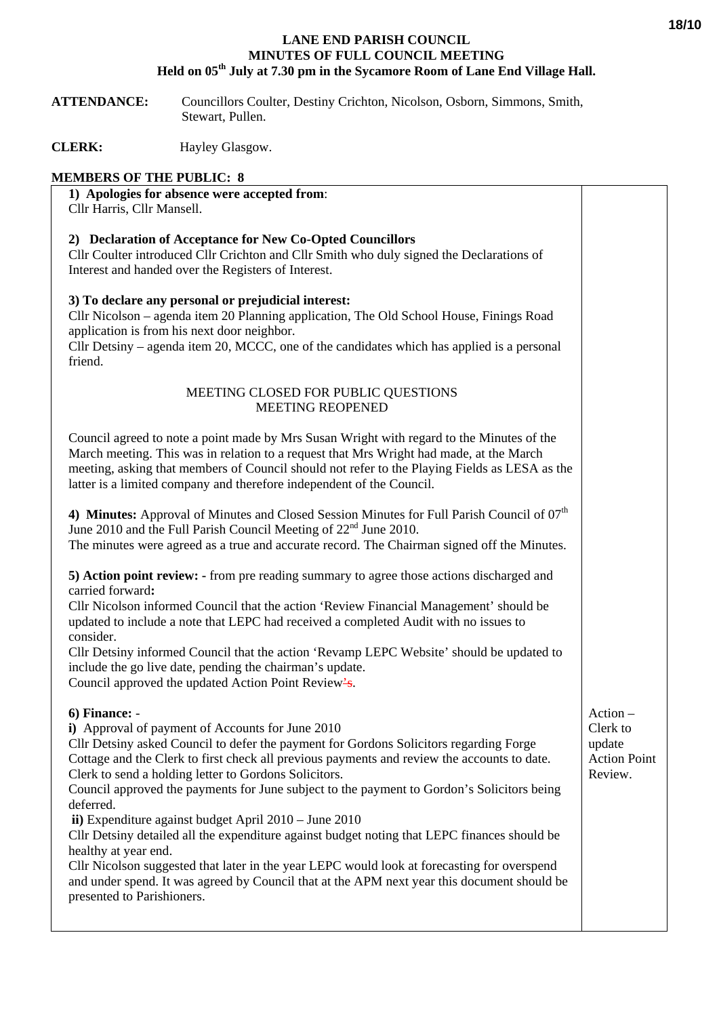## **LANE END PARISH COUNCIL MINUTES OF FULL COUNCIL MEETING Held on 05th July at 7.30 pm in the Sycamore Room of Lane End Village Hall.**

## **ATTENDANCE:** Councillors Coulter, Destiny Crichton, Nicolson, Osborn, Simmons, Smith, Stewart, Pullen.

**CLERK:** Hayley Glasgow.

## **MEMBERS OF THE PUBLIC: 8**

| 1) Apologies for absence were accepted from:<br>Cllr Harris, Cllr Mansell.                                                                                                                                                                                                                                                                                                                                                                                                                                                                                                                                                                                                                                                                                                                                                                      |                                                                    |
|-------------------------------------------------------------------------------------------------------------------------------------------------------------------------------------------------------------------------------------------------------------------------------------------------------------------------------------------------------------------------------------------------------------------------------------------------------------------------------------------------------------------------------------------------------------------------------------------------------------------------------------------------------------------------------------------------------------------------------------------------------------------------------------------------------------------------------------------------|--------------------------------------------------------------------|
| 2) Declaration of Acceptance for New Co-Opted Councillors<br>Cllr Coulter introduced Cllr Crichton and Cllr Smith who duly signed the Declarations of<br>Interest and handed over the Registers of Interest.                                                                                                                                                                                                                                                                                                                                                                                                                                                                                                                                                                                                                                    |                                                                    |
| 3) To declare any personal or prejudicial interest:<br>Cllr Nicolson - agenda item 20 Planning application, The Old School House, Finings Road<br>application is from his next door neighbor.<br>Cllr Detsiny – agenda item 20, MCCC, one of the candidates which has applied is a personal<br>friend.                                                                                                                                                                                                                                                                                                                                                                                                                                                                                                                                          |                                                                    |
| MEETING CLOSED FOR PUBLIC QUESTIONS<br><b>MEETING REOPENED</b>                                                                                                                                                                                                                                                                                                                                                                                                                                                                                                                                                                                                                                                                                                                                                                                  |                                                                    |
| Council agreed to note a point made by Mrs Susan Wright with regard to the Minutes of the<br>March meeting. This was in relation to a request that Mrs Wright had made, at the March<br>meeting, asking that members of Council should not refer to the Playing Fields as LESA as the<br>latter is a limited company and therefore independent of the Council.                                                                                                                                                                                                                                                                                                                                                                                                                                                                                  |                                                                    |
| 4) Minutes: Approval of Minutes and Closed Session Minutes for Full Parish Council of $07th$<br>June 2010 and the Full Parish Council Meeting of 22 <sup>nd</sup> June 2010.<br>The minutes were agreed as a true and accurate record. The Chairman signed off the Minutes.                                                                                                                                                                                                                                                                                                                                                                                                                                                                                                                                                                     |                                                                    |
| 5) Action point review: - from pre reading summary to agree those actions discharged and<br>carried forward:<br>Cllr Nicolson informed Council that the action 'Review Financial Management' should be<br>updated to include a note that LEPC had received a completed Audit with no issues to<br>consider.<br>Cllr Detsiny informed Council that the action 'Revamp LEPC Website' should be updated to<br>include the go live date, pending the chairman's update.<br>Council approved the updated Action Point Review's.                                                                                                                                                                                                                                                                                                                      |                                                                    |
| 6) Finance: -<br>i) Approval of payment of Accounts for June 2010<br>Cllr Detsiny asked Council to defer the payment for Gordons Solicitors regarding Forge<br>Cottage and the Clerk to first check all previous payments and review the accounts to date.<br>Clerk to send a holding letter to Gordons Solicitors.<br>Council approved the payments for June subject to the payment to Gordon's Solicitors being<br>deferred.<br>ii) Expenditure against budget April $2010 -$ June $2010$<br>Cllr Detsiny detailed all the expenditure against budget noting that LEPC finances should be<br>healthy at year end.<br>Cllr Nicolson suggested that later in the year LEPC would look at forecasting for overspend<br>and under spend. It was agreed by Council that at the APM next year this document should be<br>presented to Parishioners. | $Action -$<br>Clerk to<br>update<br><b>Action Point</b><br>Review. |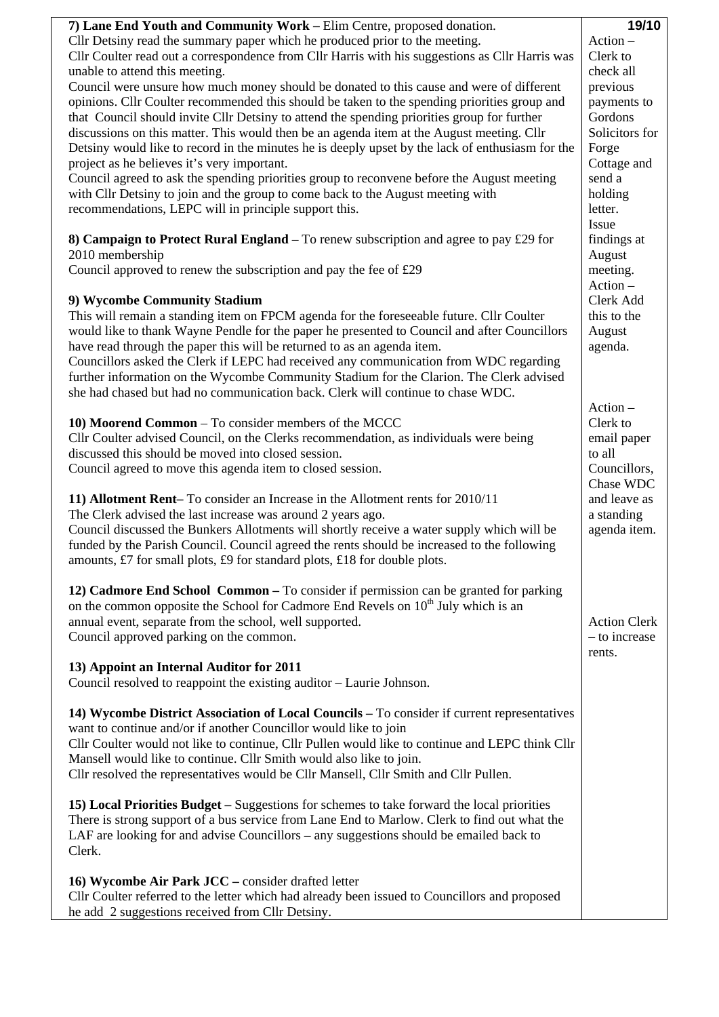| 7) Lane End Youth and Community Work - Elim Centre, proposed donation.                           | 19/10               |
|--------------------------------------------------------------------------------------------------|---------------------|
| Cllr Detsiny read the summary paper which he produced prior to the meeting.                      | Action -            |
| Cllr Coulter read out a correspondence from Cllr Harris with his suggestions as Cllr Harris was  | Clerk to            |
| unable to attend this meeting.                                                                   | check all           |
| Council were unsure how much money should be donated to this cause and were of different         | previous            |
| opinions. Cllr Coulter recommended this should be taken to the spending priorities group and     | payments to         |
| that Council should invite Cllr Detsiny to attend the spending priorities group for further      | Gordons             |
| discussions on this matter. This would then be an agenda item at the August meeting. Cllr        | Solicitors for      |
| Detsiny would like to record in the minutes he is deeply upset by the lack of enthusiasm for the | Forge               |
| project as he believes it's very important.                                                      | Cottage and         |
| Council agreed to ask the spending priorities group to reconvene before the August meeting       | send a              |
| with Cllr Detsiny to join and the group to come back to the August meeting with                  | holding             |
| recommendations, LEPC will in principle support this.                                            | letter.             |
|                                                                                                  | Issue               |
|                                                                                                  |                     |
| 8) Campaign to Protect Rural England – To renew subscription and agree to pay £29 for            | findings at         |
| 2010 membership                                                                                  | August              |
| Council approved to renew the subscription and pay the fee of £29                                | meeting.            |
|                                                                                                  | $Action -$          |
| 9) Wycombe Community Stadium                                                                     | Clerk Add           |
| This will remain a standing item on FPCM agenda for the foreseeable future. Cllr Coulter         | this to the         |
| would like to thank Wayne Pendle for the paper he presented to Council and after Councillors     | August              |
| have read through the paper this will be returned to as an agenda item.                          | agenda.             |
| Councillors asked the Clerk if LEPC had received any communication from WDC regarding            |                     |
| further information on the Wycombe Community Stadium for the Clarion. The Clerk advised          |                     |
| she had chased but had no communication back. Clerk will continue to chase WDC.                  |                     |
|                                                                                                  | Action -            |
| 10) Moorend Common – To consider members of the MCCC                                             | Clerk to            |
| Cllr Coulter advised Council, on the Clerks recommendation, as individuals were being            | email paper         |
| discussed this should be moved into closed session.                                              | to all              |
| Council agreed to move this agenda item to closed session.                                       | Councillors,        |
|                                                                                                  | Chase WDC           |
| 11) Allotment Rent-To consider an Increase in the Allotment rents for 2010/11                    | and leave as        |
| The Clerk advised the last increase was around 2 years ago.                                      | a standing          |
| Council discussed the Bunkers Allotments will shortly receive a water supply which will be       | agenda item.        |
| funded by the Parish Council. Council agreed the rents should be increased to the following      |                     |
| amounts, £7 for small plots, £9 for standard plots, £18 for double plots.                        |                     |
|                                                                                                  |                     |
| 12) Cadmore End School Common – To consider if permission can be granted for parking             |                     |
| on the common opposite the School for Cadmore End Revels on 10 <sup>th</sup> July which is an    |                     |
| annual event, separate from the school, well supported.                                          | <b>Action Clerk</b> |
| Council approved parking on the common.                                                          | - to increase       |
|                                                                                                  | rents.              |
| 13) Appoint an Internal Auditor for 2011                                                         |                     |
| Council resolved to reappoint the existing auditor – Laurie Johnson.                             |                     |
|                                                                                                  |                     |
| 14) Wycombe District Association of Local Councils – To consider if current representatives      |                     |
| want to continue and/or if another Councillor would like to join                                 |                     |
| Cllr Coulter would not like to continue, Cllr Pullen would like to continue and LEPC think Cllr  |                     |
| Mansell would like to continue. Cllr Smith would also like to join.                              |                     |
| Cllr resolved the representatives would be Cllr Mansell, Cllr Smith and Cllr Pullen.             |                     |
|                                                                                                  |                     |
| 15) Local Priorities Budget – Suggestions for schemes to take forward the local priorities       |                     |
| There is strong support of a bus service from Lane End to Marlow. Clerk to find out what the     |                     |
| LAF are looking for and advise Councillors – any suggestions should be emailed back to           |                     |
| Clerk.                                                                                           |                     |
|                                                                                                  |                     |
| 16) Wycombe Air Park JCC – consider drafted letter                                               |                     |
| Cllr Coulter referred to the letter which had already been issued to Councillors and proposed    |                     |
| he add 2 suggestions received from Cllr Detsiny.                                                 |                     |